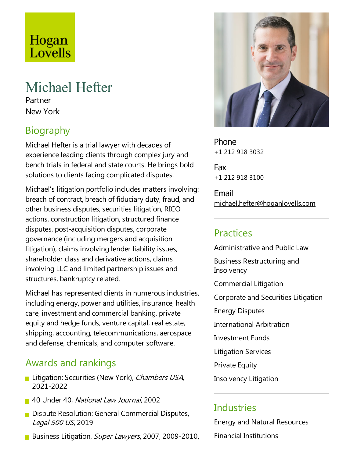# Hogan<br>Lovells

# Michael Hefter

Partner New York

# Biography

Michael Hefter is atrial lawyer with decades of experience leading clients through complex jury and bench trials in federal and state courts. He brings bold solutions to clients facing complicated disputes.

Michael's litigation portfolio includes matters involving: breach of contract, breach of fiduciary duty, fraud, and other business disputes, securities litigation, RICO actions, construction litigation, structured finance disputes, post-acquisition disputes, corporate governance(including mergers and acquisition litigation), claims involving lender liability issues, shareholder class and derivative actions, claims involving LLC and limited partnership issues and structures, bankruptcy related.

Michael has represented clients in numerous industries, including energy, power and utilities, insurance, health care, investment and commercial banking, private equity and hedge funds, venture capital, real estate, shipping, accounting, telecommunications, aerospace and defense, chemicals, and computer software.

#### Awards and rankings

- **Litigation: Securities (New York), Chambers USA,** 2021-2022
- 40 Under 40, National Law Journal, 2002
- **Dispute Resolution: General Commercial Disputes,** Legal <sup>500</sup> US, 2019
- Business Litigation, Super Lawyers, 2007, 2009-2010,



Phone +1 212 918 3032

Fax +1 212 918 3100

Email michael.hefter@hoganlovells.com

#### Practices

Administrative and Public Law Business Restructuring and **Insolvency** Commercial Litigation Corporate and Securities Litigation Energy Disputes International Arbitration Investment Funds Litigation Services Private Equity

Insolvency Litigation

#### **Industries**

Energy and Natural Resources Financial Institutions